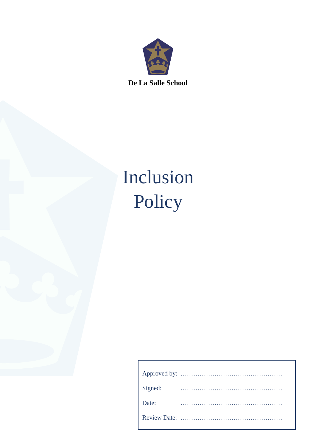

# Inclusion Policy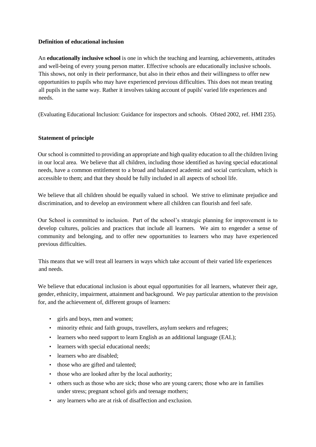## **Definition of educational inclusion**

An **educationally inclusive school** is one in which the teaching and learning, achievements, attitudes and well-being of every young person matter. Effective schools are educationally inclusive schools. This shows, not only in their performance, but also in their ethos and their willingness to offer new opportunities to pupils who may have experienced previous difficulties. This does not mean treating all pupils in the same way. Rather it involves taking account of pupils' varied life experiences and needs.

(Evaluating Educational Inclusion: Guidance for inspectors and schools. Ofsted 2002, ref. HMI 235).

# **Statement of principle**

Our school is committed to providing an appropriate and high quality education to all the children living in our local area. We believe that all children, including those identified as having special educational needs, have a common entitlement to a broad and balanced academic and social curriculum, which is accessible to them; and that they should be fully included in all aspects of school life.

We believe that all children should be equally valued in school. We strive to eliminate prejudice and discrimination, and to develop an environment where all children can flourish and feel safe.

Our School is committed to inclusion. Part of the school's strategic planning for improvement is to develop cultures, policies and practices that include all learners. We aim to engender a sense of community and belonging, and to offer new opportunities to learners who may have experienced previous difficulties.

This means that we will treat all learners in ways which take account of their varied life experiences and needs.

We believe that educational inclusion is about equal opportunities for all learners, whatever their age, gender, ethnicity, impairment, attainment and background. We pay particular attention to the provision for, and the achievement of, different groups of learners:

- girls and boys, men and women;
- minority ethnic and faith groups, travellers, asylum seekers and refugees;
- learners who need support to learn English as an additional language (EAL);
- learners with special educational needs;
- learners who are disabled:
- those who are gifted and talented;
- those who are looked after by the local authority;
- others such as those who are sick; those who are young carers; those who are in families under stress; pregnant school girls and teenage mothers;
- any learners who are at risk of disaffection and exclusion.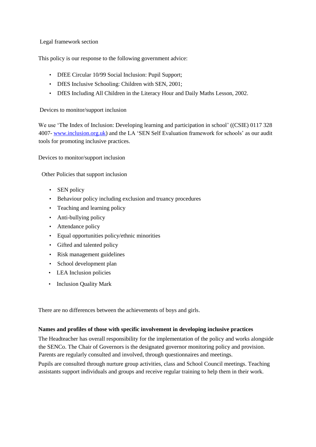# Legal framework section

This policy is our response to the following government advice:

- DfEE Circular 10/99 Social Inclusion: Pupil Support;
- DfES Inclusive Schooling: Children with SEN, 2001;
- DfES Including All Children in the Literacy Hour and Daily Maths Lesson, 2002.

## Devices to monitor/support inclusion

We use 'The Index of Inclusion: Developing learning and participation in school' ((CSIE) 0117 328 4007- www.inclusion.org.uk) and the LA 'SEN Self Evaluation framework for schools' as our audit tools for promoting inclusive practices.

Devices to monitor/support inclusion

Other Policies that support inclusion

- SEN policy
- Behaviour policy including exclusion and truancy procedures
- Teaching and learning policy
- Anti-bullying policy
- Attendance policy
- Equal opportunities policy/ethnic minorities
- Gifted and talented policy
- Risk management guidelines
- School development plan
- LEA Inclusion policies
- Inclusion Quality Mark

There are no differences between the achievements of boys and girls.

# **Names and profiles of those with specific involvement in developing inclusive practices**

The Headteacher has overall responsibility for the implementation of the policy and works alongside the SENCo. The Chair of Governors is the designated governor monitoring policy and provision. Parents are regularly consulted and involved, through questionnaires and meetings.

Pupils are consulted through nurture group activities, class and School Council meetings. Teaching assistants support individuals and groups and receive regular training to help them in their work.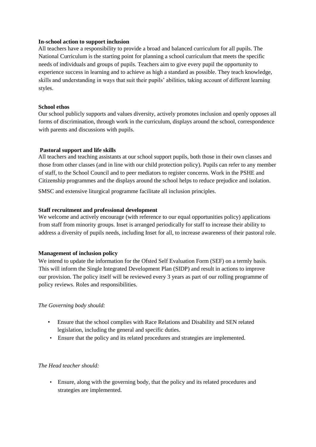### **In-school action to support inclusion**

All teachers have a responsibility to provide a broad and balanced curriculum for all pupils. The National Curriculum is the starting point for planning a school curriculum that meets the specific needs of individuals and groups of pupils. Teachers aim to give every pupil the opportunity to experience success in learning and to achieve as high a standard as possible. They teach knowledge, skills and understanding in ways that suit their pupils' abilities, taking account of different learning styles.

## **School ethos**

Our school publicly supports and values diversity, actively promotes inclusion and openly opposes all forms of discrimination, through work in the curriculum, displays around the school, correspondence with parents and discussions with pupils.

## **Pastoral support and life skills**

All teachers and teaching assistants at our school support pupils, both those in their own classes and those from other classes (and in line with our child protection policy). Pupils can refer to any member of staff, to the School Council and to peer mediators to register concerns. Work in the PSHE and Citizenship programmes and the displays around the school helps to reduce prejudice and isolation.

SMSC and extensive liturgical programme facilitate all inclusion principles.

## **Staff recruitment and professional development**

We welcome and actively encourage (with reference to our equal opportunities policy) applications from staff from minority groups. Inset is arranged periodically for staff to increase their ability to address a diversity of pupils needs, including Inset for all, to increase awareness of their pastoral role.

# **Management of inclusion policy**

We intend to update the information for the Ofsted Self Evaluation Form (SEF) on a termly basis. This will inform the Single Integrated Development Plan (SIDP) and result in actions to improve our provision. The policy itself will be reviewed every 3 years as part of our rolling programme of policy reviews. Roles and responsibilities.

# *The Governing body should:*

- Ensure that the school complies with Race Relations and Disability and SEN related legislation, including the general and specific duties.
- Ensure that the policy and its related procedures and strategies are implemented.

# *The Head teacher should:*

• Ensure, along with the governing body, that the policy and its related procedures and strategies are implemented.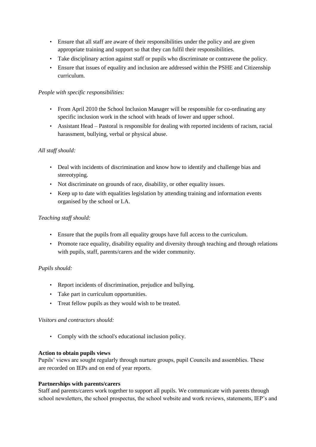- Ensure that all staff are aware of their responsibilities under the policy and are given appropriate training and support so that they can fulfil their responsibilities.
- Take disciplinary action against staff or pupils who discriminate or contravene the policy.
- Ensure that issues of equality and inclusion are addressed within the PSHE and Citizenship curriculum.

# *People with specific responsibilities:*

- From April 2010 the School Inclusion Manager will be responsible for co-ordinating any specific inclusion work in the school with heads of lower and upper school.
- Assistant Head Pastoral is responsible for dealing with reported incidents of racism, racial harassment, bullying, verbal or physical abuse.

# *All staff should:*

- Deal with incidents of discrimination and know how to identify and challenge bias and stereotyping.
- Not discriminate on grounds of race, disability, or other equality issues.
- Keep up to date with equalities legislation by attending training and information events organised by the school or LA.

# *Teaching staff should:*

- Ensure that the pupils from all equality groups have full access to the curriculum.
- Promote race equality, disability equality and diversity through teaching and through relations with pupils, staff, parents/carers and the wider community.

# *Pupils should:*

- Report incidents of discrimination, prejudice and bullying.
- Take part in curriculum opportunities.
- Treat fellow pupils as they would wish to be treated.

#### *Visitors and contractors should:*

• Comply with the school's educational inclusion policy.

#### **Action to obtain pupils views**

Pupils' views are sought regularly through nurture groups, pupil Councils and assemblies. These are recorded on IEPs and on end of year reports.

#### **Partnerships with parents/carers**

Staff and parents/carers work together to support all pupils. We communicate with parents through school newsletters, the school prospectus, the school website and work reviews, statements, IEP's and